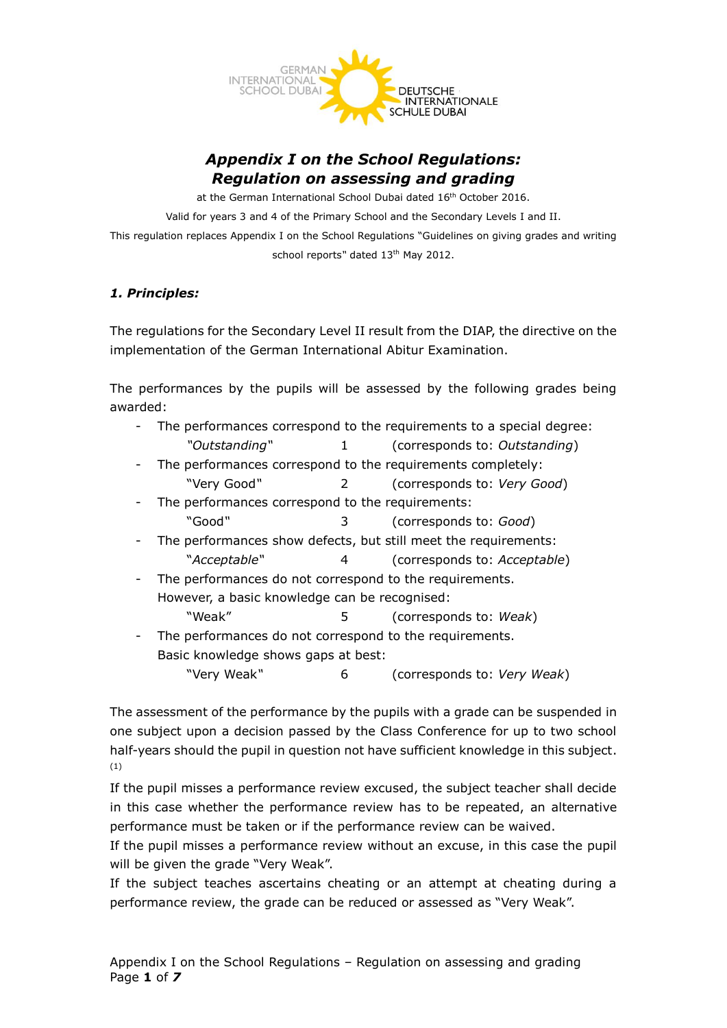

# *Appendix I on the School Regulations: Regulation on assessing and grading*

at the German International School Dubai dated 16<sup>th</sup> October 2016. Valid for years 3 and 4 of the Primary School and the Secondary Levels I and II. This regulation replaces Appendix I on the School Regulations "Guidelines on giving grades and writing school reports" dated 13<sup>th</sup> May 2012.

## *1. Principles:*

The regulations for the Secondary Level II result from the DIAP, the directive on the implementation of the German International Abitur Examination.

The performances by the pupils will be assessed by the following grades being awarded:

- The performances correspond to the requirements to a special degree: *"Outstanding"* 1 (corresponds to: *Outstanding*)
- The performances correspond to the requirements completely: "Very Good*"* 2 (corresponds to: *Very Good*)
- The performances correspond to the requirements: "Good*"* 3 (corresponds to: *Good*)
- The performances show defects, but still meet the requirements: "*Acceptable"* 4 (corresponds to: *Acceptable*)
- The performances do not correspond to the requirements. However, a basic knowledge can be recognised:
- "Weak" 5 (corresponds to: *Weak*) The performances do not correspond to the requirements.
	- Basic knowledge shows gaps at best:
		- "Very Weak*"* 6 (corresponds to: *Very Weak*)

The assessment of the performance by the pupils with a grade can be suspended in one subject upon a decision passed by the Class Conference for up to two school half-years should the pupil in question not have sufficient knowledge in this subject. (1)

If the pupil misses a performance review excused, the subject teacher shall decide in this case whether the performance review has to be repeated, an alternative performance must be taken or if the performance review can be waived.

If the pupil misses a performance review without an excuse, in this case the pupil will be given the grade "Very Weak".

If the subject teaches ascertains cheating or an attempt at cheating during a performance review, the grade can be reduced or assessed as "Very Weak".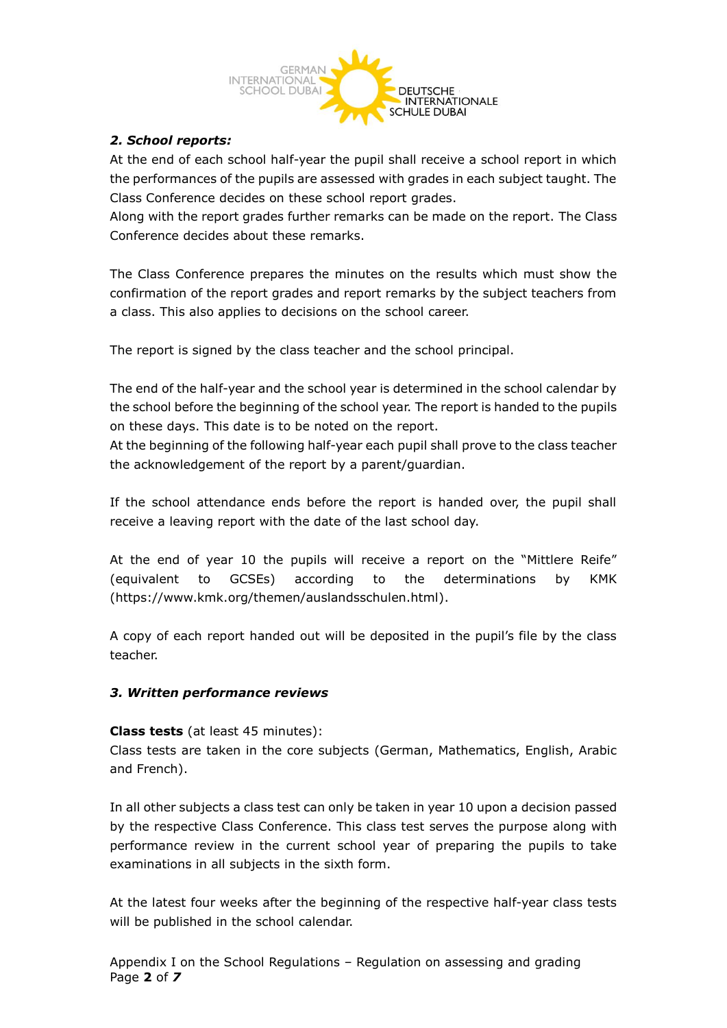

# *2. School reports:*

At the end of each school half-year the pupil shall receive a school report in which the performances of the pupils are assessed with grades in each subject taught. The Class Conference decides on these school report grades.

Along with the report grades further remarks can be made on the report. The Class Conference decides about these remarks.

The Class Conference prepares the minutes on the results which must show the confirmation of the report grades and report remarks by the subject teachers from a class. This also applies to decisions on the school career.

The report is signed by the class teacher and the school principal.

The end of the half-year and the school year is determined in the school calendar by the school before the beginning of the school year. The report is handed to the pupils on these days. This date is to be noted on the report.

At the beginning of the following half-year each pupil shall prove to the class teacher the acknowledgement of the report by a parent/guardian.

If the school attendance ends before the report is handed over, the pupil shall receive a leaving report with the date of the last school day.

At the end of year 10 the pupils will receive a report on the "Mittlere Reife" (equivalent to GCSEs) according to the determinations by KMK (https://www.kmk.org/themen/auslandsschulen.html).

A copy of each report handed out will be deposited in the pupil's file by the class teacher.

# *3. Written performance reviews*

#### **Class tests** (at least 45 minutes):

Class tests are taken in the core subjects (German, Mathematics, English, Arabic and French).

In all other subjects a class test can only be taken in year 10 upon a decision passed by the respective Class Conference. This class test serves the purpose along with performance review in the current school year of preparing the pupils to take examinations in all subjects in the sixth form.

At the latest four weeks after the beginning of the respective half-year class tests will be published in the school calendar.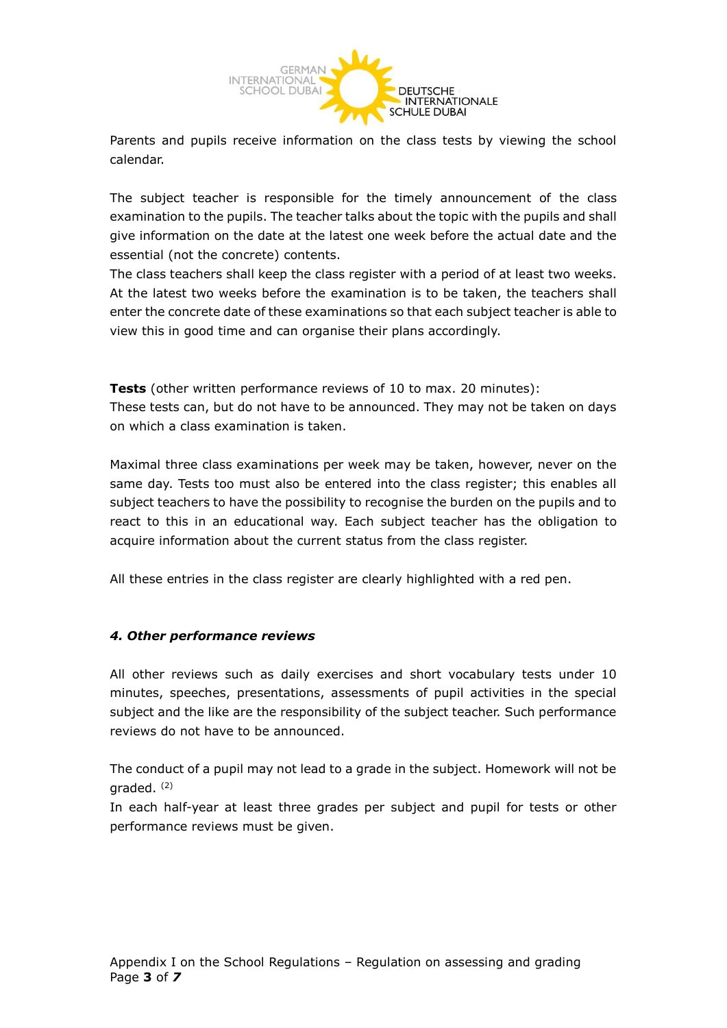

Parents and pupils receive information on the class tests by viewing the school calendar.

The subject teacher is responsible for the timely announcement of the class examination to the pupils. The teacher talks about the topic with the pupils and shall give information on the date at the latest one week before the actual date and the essential (not the concrete) contents.

The class teachers shall keep the class register with a period of at least two weeks. At the latest two weeks before the examination is to be taken, the teachers shall enter the concrete date of these examinations so that each subject teacher is able to view this in good time and can organise their plans accordingly.

**Tests** (other written performance reviews of 10 to max. 20 minutes): These tests can, but do not have to be announced. They may not be taken on days on which a class examination is taken.

Maximal three class examinations per week may be taken, however, never on the same day. Tests too must also be entered into the class register; this enables all subject teachers to have the possibility to recognise the burden on the pupils and to react to this in an educational way. Each subject teacher has the obligation to acquire information about the current status from the class register.

All these entries in the class register are clearly highlighted with a red pen.

# *4. Other performance reviews*

All other reviews such as daily exercises and short vocabulary tests under 10 minutes, speeches, presentations, assessments of pupil activities in the special subject and the like are the responsibility of the subject teacher. Such performance reviews do not have to be announced.

The conduct of a pupil may not lead to a grade in the subject. Homework will not be araded.  $(2)$ 

In each half-year at least three grades per subject and pupil for tests or other performance reviews must be given.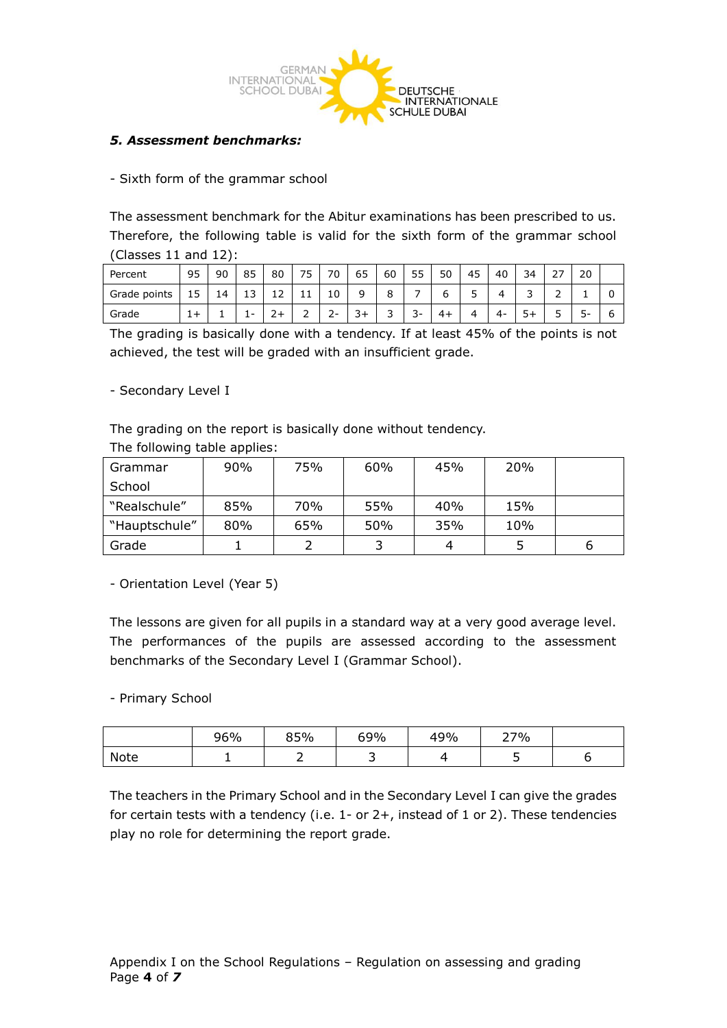

### *5. Assessment benchmarks:*

#### - Sixth form of the grammar school

The assessment benchmark for the Abitur examinations has been prescribed to us. Therefore, the following table is valid for the sixth form of the grammar school (Classes 11 and 12):

| Percent      | 95                   | 90 | 85 | 80       | ر   | 70            | 65  | 60     | 55       | 50 | 45 | 40 | 34 | <u>_</u> | 20 |   |
|--------------|----------------------|----|----|----------|-----|---------------|-----|--------|----------|----|----|----|----|----------|----|---|
| Grade points | $\overline{ }$<br>15 | 14 | ᆚ  | ᅩᄼ       | + + | 10            |     | ິ<br>О |          | ь  | ◡  |    | ັ  | -        |    | u |
| Grade        | - 1<br>ᆠ             |    | -  | <u>.</u> | -   | ∽<br><u>.</u> | - ت | ັ      | . .<br>ັ |    |    | 4- | -- | ັ        | ٠  | b |

The grading is basically done with a tendency. If at least 45% of the points is not achieved, the test will be graded with an insufficient grade.

#### - Secondary Level I

The grading on the report is basically done without tendency.

| Grammar       | 90% | 75% | 60% | 45% | 20% |   |  |  |  |
|---------------|-----|-----|-----|-----|-----|---|--|--|--|
| School        |     |     |     |     |     |   |  |  |  |
| "Realschule"  | 85% | 70% | 55% | 40% | 15% |   |  |  |  |
| "Hauptschule" | 80% | 65% | 50% | 35% | 10% |   |  |  |  |
| Grade         |     |     |     |     |     | ь |  |  |  |

The following table applies:

- Orientation Level (Year 5)

The lessons are given for all pupils in a standard way at a very good average level. The performances of the pupils are assessed according to the assessment benchmarks of the Secondary Level I (Grammar School).

- Primary School

|      | 96% | 85% | 69% | 49% | 27% |  |
|------|-----|-----|-----|-----|-----|--|
| Note |     |     | -   |     |     |  |

The teachers in the Primary School and in the Secondary Level I can give the grades for certain tests with a tendency (i.e. 1- or 2+, instead of 1 or 2). These tendencies play no role for determining the report grade.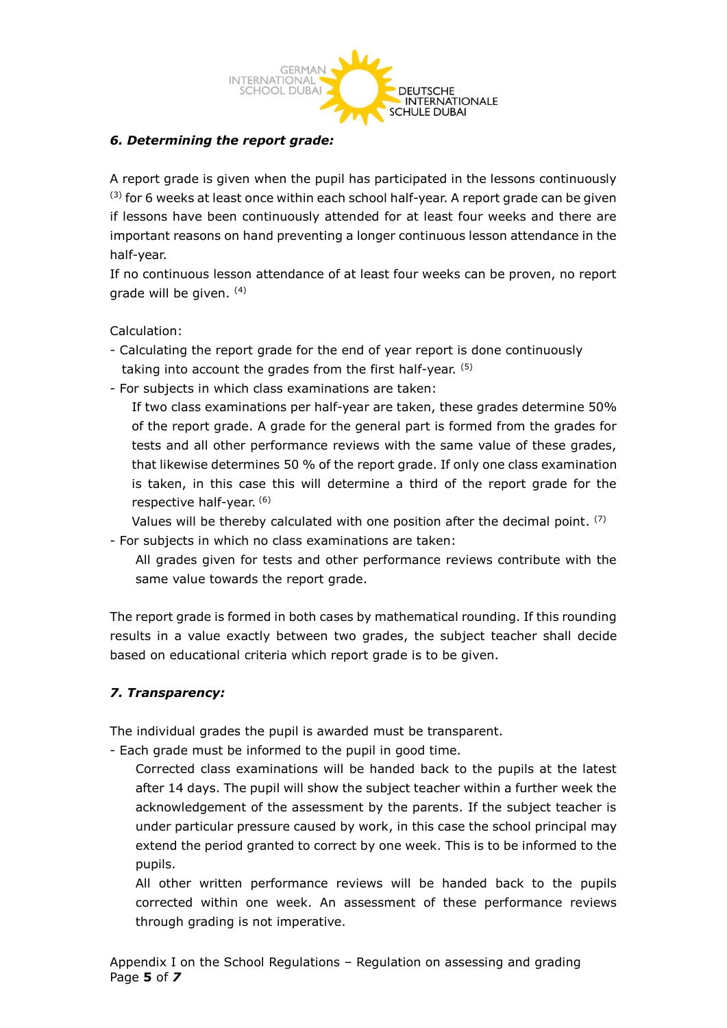

## *6. Determining the report grade:*

A report grade is given when the pupil has participated in the lessons continuously (3) for 6 weeks at least once within each school half-year. A report grade can be given if lessons have been continuously attended for at least four weeks and there are important reasons on hand preventing a longer continuous lesson attendance in the half-year.

If no continuous lesson attendance of at least four weeks can be proven, no report grade will be given. (4)

Calculation:

- Calculating the report grade for the end of year report is done continuously taking into account the grades from the first half-year. (5)
- For subjects in which class examinations are taken:

If two class examinations per half-year are taken, these grades determine 50% of the report grade. A grade for the general part is formed from the grades for tests and all other performance reviews with the same value of these grades, that likewise determines 50 % of the report grade. If only one class examination is taken, in this case this will determine a third of the report grade for the respective half-year. (6)

Values will be thereby calculated with one position after the decimal point. <sup>(7)</sup> - For subjects in which no class examinations are taken:

All grades given for tests and other performance reviews contribute with the same value towards the report grade.

The report grade is formed in both cases by mathematical rounding. If this rounding results in a value exactly between two grades, the subject teacher shall decide based on educational criteria which report grade is to be given.

#### *7. Transparency:*

The individual grades the pupil is awarded must be transparent.

- Each grade must be informed to the pupil in good time.

Corrected class examinations will be handed back to the pupils at the latest after 14 days. The pupil will show the subject teacher within a further week the acknowledgement of the assessment by the parents. If the subject teacher is under particular pressure caused by work, in this case the school principal may extend the period granted to correct by one week. This is to be informed to the pupils.

All other written performance reviews will be handed back to the pupils corrected within one week. An assessment of these performance reviews through grading is not imperative.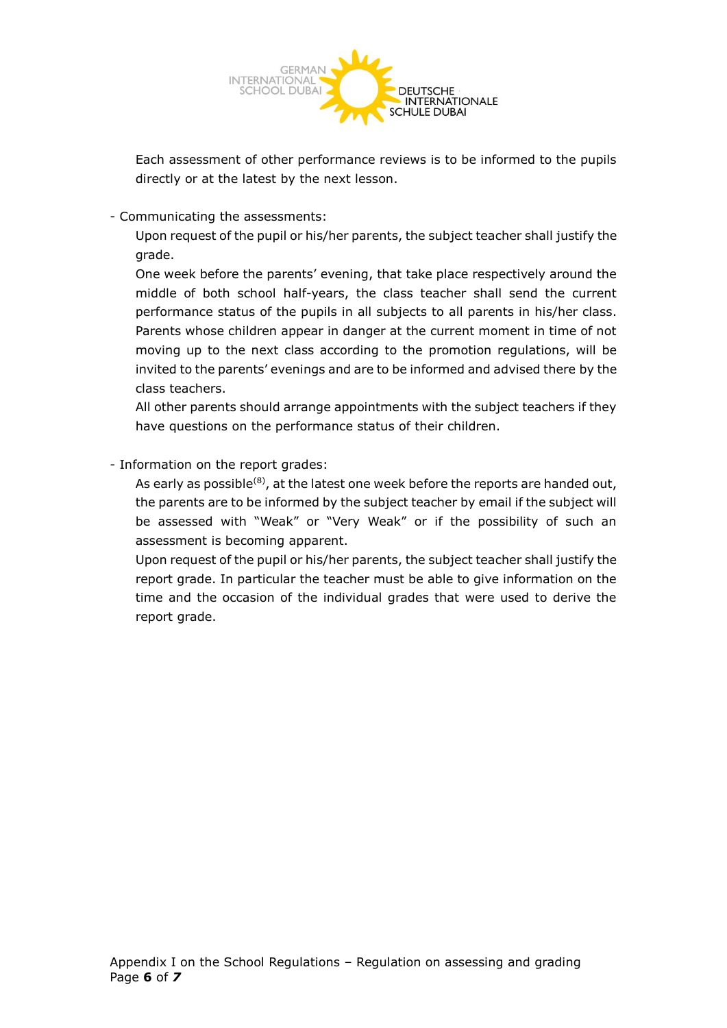

Each assessment of other performance reviews is to be informed to the pupils directly or at the latest by the next lesson.

- Communicating the assessments:

Upon request of the pupil or his/her parents, the subject teacher shall justify the grade.

One week before the parents' evening, that take place respectively around the middle of both school half-years, the class teacher shall send the current performance status of the pupils in all subjects to all parents in his/her class. Parents whose children appear in danger at the current moment in time of not moving up to the next class according to the promotion regulations, will be invited to the parents' evenings and are to be informed and advised there by the class teachers.

All other parents should arrange appointments with the subject teachers if they have questions on the performance status of their children.

- Information on the report grades:

As early as possible<sup>(8)</sup>, at the latest one week before the reports are handed out, the parents are to be informed by the subject teacher by email if the subject will be assessed with "Weak" or "Very Weak" or if the possibility of such an assessment is becoming apparent.

Upon request of the pupil or his/her parents, the subject teacher shall justify the report grade. In particular the teacher must be able to give information on the time and the occasion of the individual grades that were used to derive the report grade.